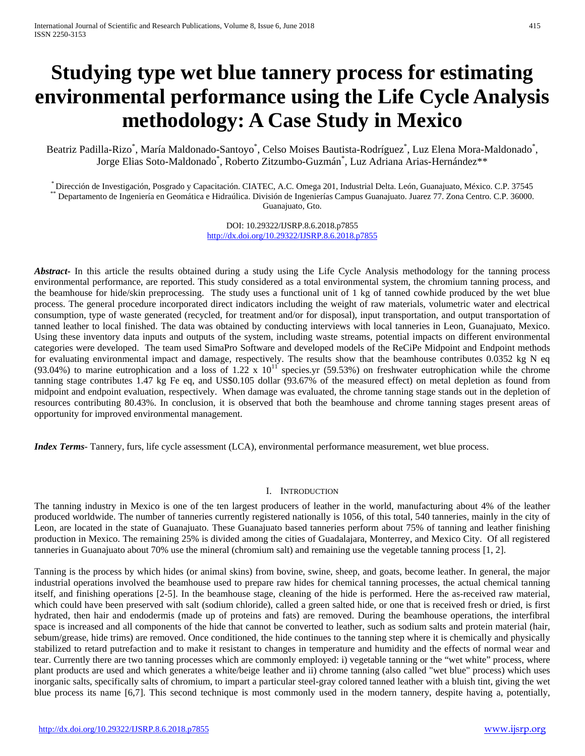# **Studying type wet blue tannery process for estimating environmental performance using the Life Cycle Analysis methodology: A Case Study in Mexico**

Beatriz Padilla-Rizo\*, María Maldonado-Santoyo\*, Celso Moises Bautista-Rodríguez\*, Luz Elena Mora-Maldonado\*, Jorge Elias Soto-Maldonado\* , Roberto Zitzumbo-Guzmán\* , Luz Adriana Arias-Hernández\*\*

\* Dirección de Investigación, Posgrado y Capacitación. CIATEC, A.C. Omega 201, Industrial Delta. León, Guanajuato, México. C.P. 37545<br>\*\* Departamento de Ingeniería en Geomática e Hidraúlica. División de Ingenierías Campus Guanajuato, Gto.

> DOI: 10.29322/IJSRP.8.6.2018.p7855 <http://dx.doi.org/10.29322/IJSRP.8.6.2018.p7855>

*Abstract* In this article the results obtained during a study using the Life Cycle Analysis methodology for the tanning process environmental performance, are reported. This study considered as a total environmental system, the chromium tanning process, and the beamhouse for hide/skin preprocessing. The study uses a functional unit of 1 kg of tanned cowhide produced by the wet blue process. The general procedure incorporated direct indicators including the weight of raw materials, volumetric water and electrical consumption, type of waste generated (recycled, for treatment and/or for disposal), input transportation, and output transportation of tanned leather to local finished. The data was obtained by conducting interviews with local tanneries in Leon, Guanajuato, Mexico. Using these inventory data inputs and outputs of the system, including waste streams, potential impacts on different environmental categories were developed. The team used SimaPro Software and developed models of the ReCiPe Midpoint and Endpoint methods for evaluating environmental impact and damage, respectively. The results show that the beamhouse contributes 0.0352 kg N eq (93.04%) to marine eutrophication and a loss of  $1.22 \times 10^{11}$  species.yr (59.53%) on freshwater eutrophication while the chrome tanning stage contributes 1.47 kg Fe eq, and US\$0.105 dollar (93.67% of the measured effect) on metal depletion as found from midpoint and endpoint evaluation, respectively. When damage was evaluated, the chrome tanning stage stands out in the depletion of resources contributing 80.43%. In conclusion, it is observed that both the beamhouse and chrome tanning stages present areas of opportunity for improved environmental management.

*Index Terms*- Tannery, furs, life cycle assessment (LCA), environmental performance measurement, wet blue process.

## I. INTRODUCTION

The tanning industry in Mexico is one of the ten largest producers of leather in the world, manufacturing about 4% of the leather produced worldwide. The number of tanneries currently registered nationally is 1056, of this total, 540 tanneries, mainly in the city of Leon, are located in the state of Guanajuato. These Guanajuato based tanneries perform about 75% of tanning and leather finishing production in Mexico. The remaining 25% is divided among the cities of Guadalajara, Monterrey, and Mexico City. Of all registered tanneries in Guanajuato about 70% use the mineral (chromium salt) and remaining use the vegetable tanning process [1, 2].

Tanning is the process by which hides (or animal skins) from bovine, swine, sheep, and goats, become leather. In general, the major industrial operations involved the beamhouse used to prepare raw hides for chemical tanning processes, the actual chemical tanning itself, and finishing operations [2-5]. In the beamhouse stage, cleaning of the hide is performed. Here the as-received raw material, which could have been preserved with salt (sodium chloride), called a green salted hide, or one that is received fresh or dried, is first hydrated, then hair and endodermis (made up of proteins and fats) are removed. During the beamhouse operations, the interfibral space is increased and all components of the hide that cannot be converted to leather, such as sodium salts and protein material (hair, sebum/grease, hide trims) are removed. Once conditioned, the hide continues to the tanning step where it is chemically and physically stabilized to retard putrefaction and to make it resistant to changes in temperature and humidity and the effects of normal wear and tear. Currently there are two tanning processes which are commonly employed: i) vegetable tanning or the "wet white" process, where plant products are used and which generates a white/beige leather and ii) chrome tanning (also called "wet blue" process) which uses inorganic salts, specifically salts of chromium, to impart a particular steel-gray colored tanned leather with a bluish tint, giving the wet blue process its name [6,7]. This second technique is most commonly used in the modern tannery, despite having a, potentially,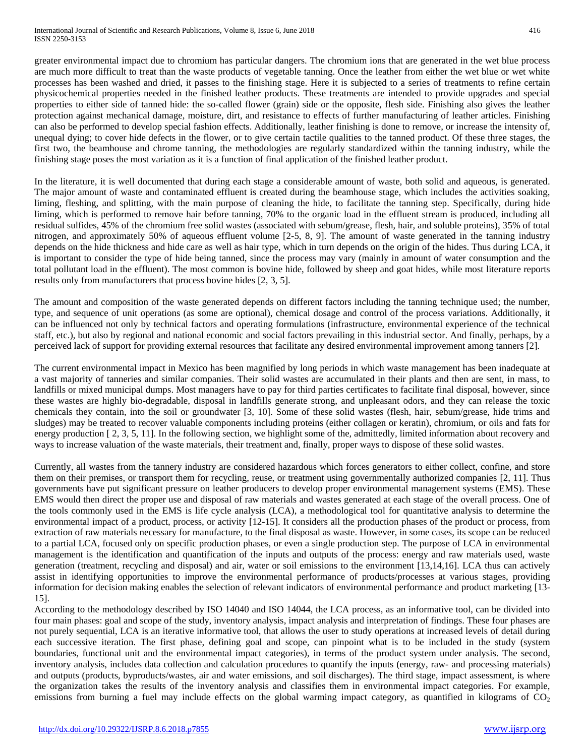greater environmental impact due to chromium has particular dangers. The chromium ions that are generated in the wet blue process are much more difficult to treat than the waste products of vegetable tanning. Once the leather from either the wet blue or wet white processes has been washed and dried, it passes to the finishing stage. Here it is subjected to a series of treatments to refine certain physicochemical properties needed in the finished leather products. These treatments are intended to provide upgrades and special properties to either side of tanned hide: the so-called flower (grain) side or the opposite, flesh side. Finishing also gives the leather protection against mechanical damage, moisture, dirt, and resistance to effects of further manufacturing of leather articles. Finishing can also be performed to develop special fashion effects. Additionally, leather finishing is done to remove, or increase the intensity of, unequal dying; to cover hide defects in the flower, or to give certain tactile qualities to the tanned product. Of these three stages, the first two, the beamhouse and chrome tanning, the methodologies are regularly standardized within the tanning industry, while the finishing stage poses the most variation as it is a function of final application of the finished leather product.

In the literature, it is well documented that during each stage a considerable amount of waste, both solid and aqueous, is generated. The major amount of waste and contaminated effluent is created during the beamhouse stage, which includes the activities soaking, liming, fleshing, and splitting, with the main purpose of cleaning the hide, to facilitate the tanning step. Specifically, during hide liming, which is performed to remove hair before tanning, 70% to the organic load in the effluent stream is produced, including all residual sulfides, 45% of the chromium free solid wastes (associated with sebum/grease, flesh, hair, and soluble proteins), 35% of total nitrogen, and approximately 50% of aqueous effluent volume [2-5, 8, 9]. The amount of waste generated in the tanning industry depends on the hide thickness and hide care as well as hair type, which in turn depends on the origin of the hides. Thus during LCA, it is important to consider the type of hide being tanned, since the process may vary (mainly in amount of water consumption and the total pollutant load in the effluent). The most common is bovine hide, followed by sheep and goat hides, while most literature reports results only from manufacturers that process bovine hides [2, 3, 5].

The amount and composition of the waste generated depends on different factors including the tanning technique used; the number, type, and sequence of unit operations (as some are optional), chemical dosage and control of the process variations. Additionally, it can be influenced not only by technical factors and operating formulations (infrastructure, environmental experience of the technical staff, etc.), but also by regional and national economic and social factors prevailing in this industrial sector. And finally, perhaps, by a perceived lack of support for providing external resources that facilitate any desired environmental improvement among tanners [2].

The current environmental impact in Mexico has been magnified by long periods in which waste management has been inadequate at a vast majority of tanneries and similar companies. Their solid wastes are accumulated in their plants and then are sent, in mass, to landfills or mixed municipal dumps. Most managers have to pay for third parties certificates to facilitate final disposal, however, since these wastes are highly bio-degradable, disposal in landfills generate strong, and unpleasant odors, and they can release the toxic chemicals they contain, into the soil or groundwater [3, 10]. Some of these solid wastes (flesh, hair, sebum/grease, hide trims and sludges) may be treated to recover valuable components including proteins (either collagen or keratin), chromium, or oils and fats for energy production  $[2, 3, 5, 11]$ . In the following section, we highlight some of the, admittedly, limited information about recovery and ways to increase valuation of the waste materials, their treatment and, finally, proper ways to dispose of these solid wastes.

Currently, all wastes from the tannery industry are considered hazardous which forces generators to either collect, confine, and store them on their premises, or transport them for recycling, reuse, or treatment using governmentally authorized companies [2, 11]. Thus governments have put significant pressure on leather producers to develop proper environmental management systems (EMS). These EMS would then direct the proper use and disposal of raw materials and wastes generated at each stage of the overall process. One of the tools commonly used in the EMS is life cycle analysis (LCA), a methodological tool for quantitative analysis to determine the environmental impact of a product, process, or activity [12-15]. It considers all the production phases of the product or process, from extraction of raw materials necessary for manufacture, to the final disposal as waste. However, in some cases, its scope can be reduced to a partial LCA, focused only on specific production phases, or even a single production step. The purpose of LCA in environmental management is the identification and quantification of the inputs and outputs of the process: energy and raw materials used, waste generation (treatment, recycling and disposal) and air, water or soil emissions to the environment [13,14,16]. LCA thus can actively assist in identifying opportunities to improve the environmental performance of products/processes at various stages, providing information for decision making enables the selection of relevant indicators of environmental performance and product marketing [13- 15].

According to the methodology described by ISO 14040 and ISO 14044, the LCA process, as an informative tool, can be divided into four main phases: goal and scope of the study, inventory analysis, impact analysis and interpretation of findings. These four phases are not purely sequential, LCA is an iterative informative tool, that allows the user to study operations at increased levels of detail during each successive iteration. The first phase, defining goal and scope, can pinpoint what is to be included in the study (system boundaries, functional unit and the environmental impact categories), in terms of the product system under analysis. The second, inventory analysis, includes data collection and calculation procedures to quantify the inputs (energy, raw- and processing materials) and outputs (products, byproducts/wastes, air and water emissions, and soil discharges). The third stage, impact assessment, is where the organization takes the results of the inventory analysis and classifies them in environmental impact categories. For example, emissions from burning a fuel may include effects on the global warming impact category, as quantified in kilograms of  $CO<sub>2</sub>$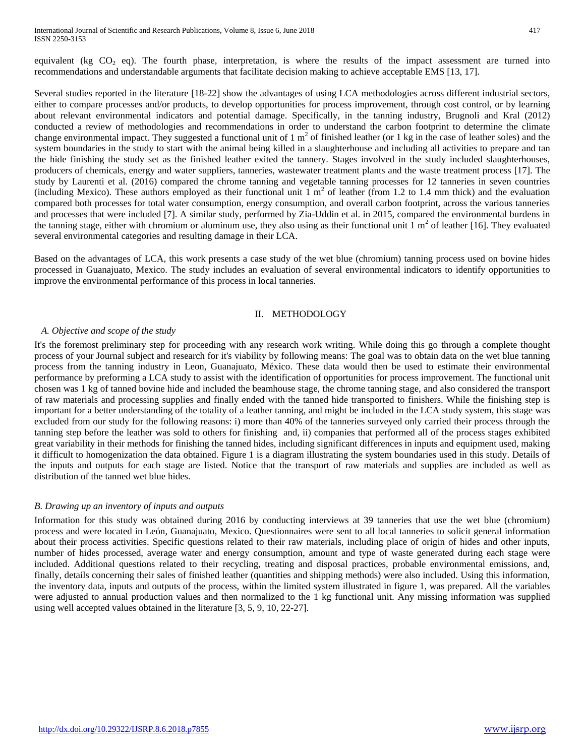equivalent (kg  $CO<sub>2</sub>$  eq). The fourth phase, interpretation, is where the results of the impact assessment are turned into recommendations and understandable arguments that facilitate decision making to achieve acceptable EMS [13, 17].

Several studies reported in the literature [18-22] show the advantages of using LCA methodologies across different industrial sectors, either to compare processes and/or products, to develop opportunities for process improvement, through cost control, or by learning about relevant environmental indicators and potential damage. Specifically, in the tanning industry, Brugnoli and Kral (2012) conducted a review of methodologies and recommendations in order to understand the carbon footprint to determine the climate change environmental impact. They suggested a functional unit of  $1 \text{ m}^2$  of finished leather (or  $1 \text{ kg}$  in the case of leather soles) and the system boundaries in the study to start with the animal being killed in a slaughterhouse and including all activities to prepare and tan the hide finishing the study set as the finished leather exited the tannery. Stages involved in the study included slaughterhouses, producers of chemicals, energy and water suppliers, tanneries, wastewater treatment plants and the waste treatment process [17]. The study by Laurenti et al. (2016) compared the chrome tanning and vegetable tanning processes for 12 tanneries in seven countries (including Mexico). These authors employed as their functional unit  $1 \text{ m}^2$  of leather (from 1.2 to 1.4 mm thick) and the evaluation compared both processes for total water consumption, energy consumption, and overall carbon footprint, across the various tanneries and processes that were included [7]. A similar study, performed by Zia-Uddin et al. in 2015, compared the environmental burdens in the tanning stage, either with chromium or aluminum use, they also using as their functional unit  $1 \text{ m}^2$  of leather [16]. They evaluated several environmental categories and resulting damage in their LCA.

Based on the advantages of LCA, this work presents a case study of the wet blue (chromium) tanning process used on bovine hides processed in Guanajuato, Mexico. The study includes an evaluation of several environmental indicators to identify opportunities to improve the environmental performance of this process in local tanneries.

#### II. METHODOLOGY

## *A. Objective and scope of the study*

It's the foremost preliminary step for proceeding with any research work writing. While doing this go through a complete thought process of your Journal subject and research for it's viability by following means: The goal was to obtain data on the wet blue tanning process from the tanning industry in Leon, Guanajuato, México. These data would then be used to estimate their environmental performance by preforming a LCA study to assist with the identification of opportunities for process improvement. The functional unit chosen was 1 kg of tanned bovine hide and included the beamhouse stage, the chrome tanning stage, and also considered the transport of raw materials and processing supplies and finally ended with the tanned hide transported to finishers. While the finishing step is important for a better understanding of the totality of a leather tanning, and might be included in the LCA study system, this stage was excluded from our study for the following reasons: i) more than 40% of the tanneries surveyed only carried their process through the tanning step before the leather was sold to others for finishing and, ii) companies that performed all of the process stages exhibited great variability in their methods for finishing the tanned hides, including significant differences in inputs and equipment used, making it difficult to homogenization the data obtained. Figure 1 is a diagram illustrating the system boundaries used in this study. Details of the inputs and outputs for each stage are listed. Notice that the transport of raw materials and supplies are included as well as distribution of the tanned wet blue hides.

## *B. Drawing up an inventory of inputs and outputs*

Information for this study was obtained during 2016 by conducting interviews at 39 tanneries that use the wet blue (chromium) process and were located in León, Guanajuato, Mexico. Questionnaires were sent to all local tanneries to solicit general information about their process activities. Specific questions related to their raw materials, including place of origin of hides and other inputs, number of hides processed, average water and energy consumption, amount and type of waste generated during each stage were included. Additional questions related to their recycling, treating and disposal practices, probable environmental emissions, and, finally, details concerning their sales of finished leather (quantities and shipping methods) were also included. Using this information, the inventory data, inputs and outputs of the process, within the limited system illustrated in figure 1, was prepared. All the variables were adjusted to annual production values and then normalized to the 1 kg functional unit. Any missing information was supplied using well accepted values obtained in the literature [3, 5, 9, 10, 22-27].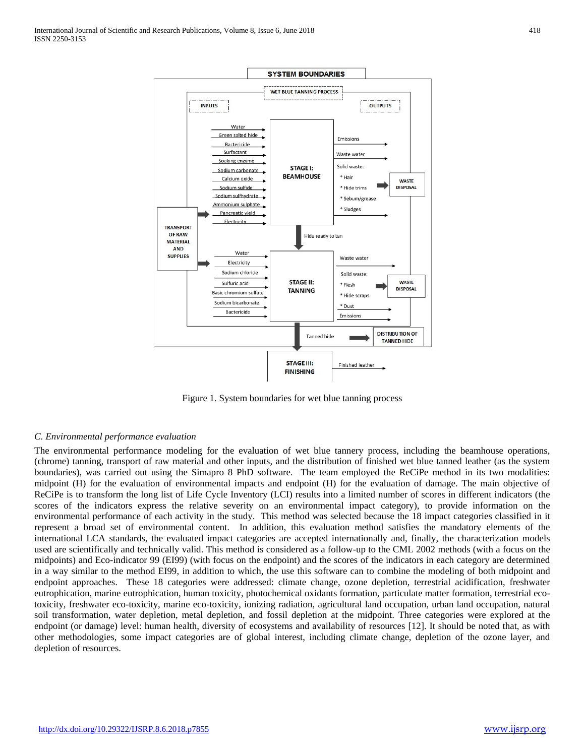

Figure 1. System boundaries for wet blue tanning process

## *C. Environmental performance evaluation*

The environmental performance modeling for the evaluation of wet blue tannery process, including the beamhouse operations, (chrome) tanning, transport of raw material and other inputs, and the distribution of finished wet blue tanned leather (as the system boundaries), was carried out using the Simapro 8 PhD software. The team employed the ReCiPe method in its two modalities: midpoint (H) for the evaluation of environmental impacts and endpoint (H) for the evaluation of damage. The main objective of ReCiPe is to transform the long list of Life Cycle Inventory (LCI) results into a limited number of scores in different indicators (the scores of the indicators express the relative severity on an environmental impact category), to provide information on the environmental performance of each activity in the study. This method was selected because the 18 impact categories classified in it represent a broad set of environmental content. In addition, this evaluation method satisfies the mandatory elements of the international LCA standards, the evaluated impact categories are accepted internationally and, finally, the characterization models used are scientifically and technically valid. This method is considered as a follow-up to the CML 2002 methods (with a focus on the midpoints) and Eco-indicator 99 (EI99) (with focus on the endpoint) and the scores of the indicators in each category are determined in a way similar to the method EI99, in addition to which, the use this software can to combine the modeling of both midpoint and endpoint approaches. These 18 categories were addressed: climate change, ozone depletion, terrestrial acidification, freshwater eutrophication, marine eutrophication, human toxicity, photochemical oxidants formation, particulate matter formation, terrestrial ecotoxicity, freshwater eco-toxicity, marine eco-toxicity, ionizing radiation, agricultural land occupation, urban land occupation, natural soil transformation, water depletion, metal depletion, and fossil depletion at the midpoint. Three categories were explored at the endpoint (or damage) level: human health, diversity of ecosystems and availability of resources [12]. It should be noted that, as with other methodologies, some impact categories are of global interest, including climate change, depletion of the ozone layer, and depletion of resources.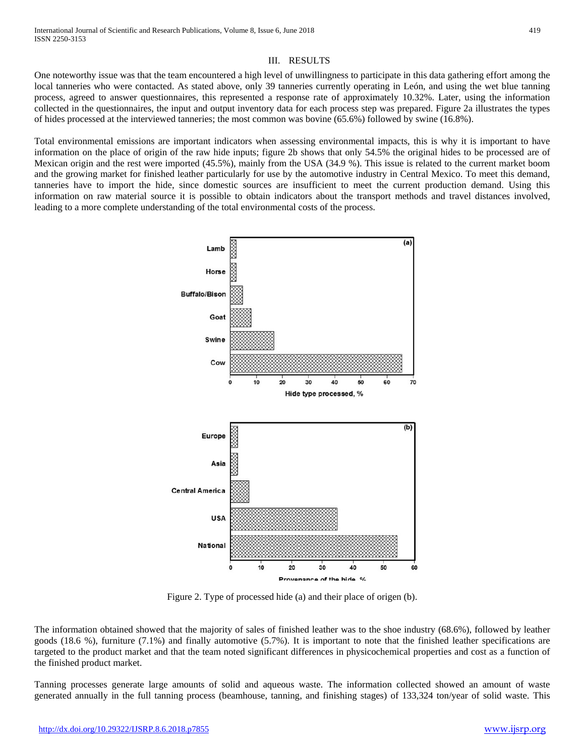## III. RESULTS

One noteworthy issue was that the team encountered a high level of unwillingness to participate in this data gathering effort among the local tanneries who were contacted. As stated above, only 39 tanneries currently operating in León, and using the wet blue tanning process, agreed to answer questionnaires, this represented a response rate of approximately 10.32%. Later, using the information collected in the questionnaires, the input and output inventory data for each process step was prepared. Figure 2a illustrates the types of hides processed at the interviewed tanneries; the most common was bovine (65.6%) followed by swine (16.8%).

Total environmental emissions are important indicators when assessing environmental impacts, this is why it is important to have information on the place of origin of the raw hide inputs; figure 2b shows that only 54.5% the original hides to be processed are of Mexican origin and the rest were imported (45.5%), mainly from the USA (34.9 %). This issue is related to the current market boom and the growing market for finished leather particularly for use by the automotive industry in Central Mexico. To meet this demand, tanneries have to import the hide, since domestic sources are insufficient to meet the current production demand. Using this information on raw material source it is possible to obtain indicators about the transport methods and travel distances involved, leading to a more complete understanding of the total environmental costs of the process.



Figure 2. Type of processed hide (a) and their place of origen (b).

The information obtained showed that the majority of sales of finished leather was to the shoe industry (68.6%), followed by leather goods (18.6 %), furniture (7.1%) and finally automotive (5.7%). It is important to note that the finished leather specifications are targeted to the product market and that the team noted significant differences in physicochemical properties and cost as a function of the finished product market.

Tanning processes generate large amounts of solid and aqueous waste. The information collected showed an amount of waste generated annually in the full tanning process (beamhouse, tanning, and finishing stages) of 133,324 ton/year of solid waste. This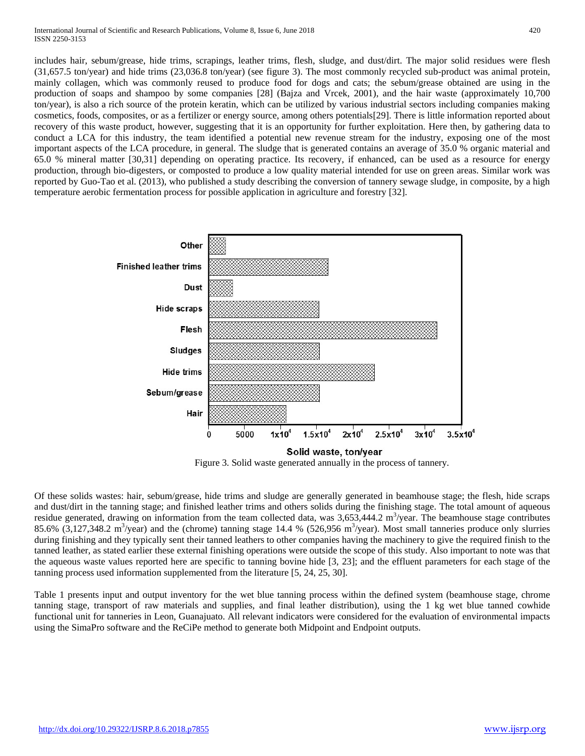includes hair, sebum/grease, hide trims, scrapings, leather trims, flesh, sludge, and dust/dirt. The major solid residues were flesh (31,657.5 ton/year) and hide trims (23,036.8 ton/year) (see figure 3). The most commonly recycled sub-product was animal protein, mainly collagen, which was commonly reused to produce food for dogs and cats; the sebum/grease obtained are using in the production of soaps and shampoo by some companies [28] (Bajza and Vrcek, 2001), and the hair waste (approximately 10,700 ton/year), is also a rich source of the protein keratin, which can be utilized by various industrial sectors including companies making cosmetics, foods, composites, or as a fertilizer or energy source, among others potentials[29]. There is little information reported about recovery of this waste product, however, suggesting that it is an opportunity for further exploitation. Here then, by gathering data to conduct a LCA for this industry, the team identified a potential new revenue stream for the industry, exposing one of the most important aspects of the LCA procedure, in general. The sludge that is generated contains an average of 35.0 % organic material and 65.0 % mineral matter [30,31] depending on operating practice. Its recovery, if enhanced, can be used as a resource for energy production, through bio-digesters, or composted to produce a low quality material intended for use on green areas. Similar work was reported by Guo-Tao et al. (2013), who published a study describing the conversion of tannery sewage sludge, in composite, by a high temperature aerobic fermentation process for possible application in agriculture and forestry [32].



Of these solids wastes: hair, sebum/grease, hide trims and sludge are generally generated in beamhouse stage; the flesh, hide scraps and dust/dirt in the tanning stage; and finished leather trims and others solids during the finishing stage. The total amount of aqueous residue generated, drawing on information from the team collected data, was  $3,653,444.2 \text{ m}^3/\text{year}$ . The beamhouse stage contributes 85.6%  $(3,127,348.2 \text{ m}^3/\text{year})$  and the (chrome) tanning stage 14.4 % (526,956 m<sup>3</sup>/year). Most small tanneries produce only slurries during finishing and they typically sent their tanned leathers to other companies having the machinery to give the required finish to the tanned leather, as stated earlier these external finishing operations were outside the scope of this study. Also important to note was that the aqueous waste values reported here are specific to tanning bovine hide [3, 23]; and the effluent parameters for each stage of the tanning process used information supplemented from the literature [5, 24, 25, 30].

Table 1 presents input and output inventory for the wet blue tanning process within the defined system (beamhouse stage, chrome tanning stage, transport of raw materials and supplies, and final leather distribution), using the 1 kg wet blue tanned cowhide functional unit for tanneries in Leon, Guanajuato. All relevant indicators were considered for the evaluation of environmental impacts using the SimaPro software and the ReCiPe method to generate both Midpoint and Endpoint outputs.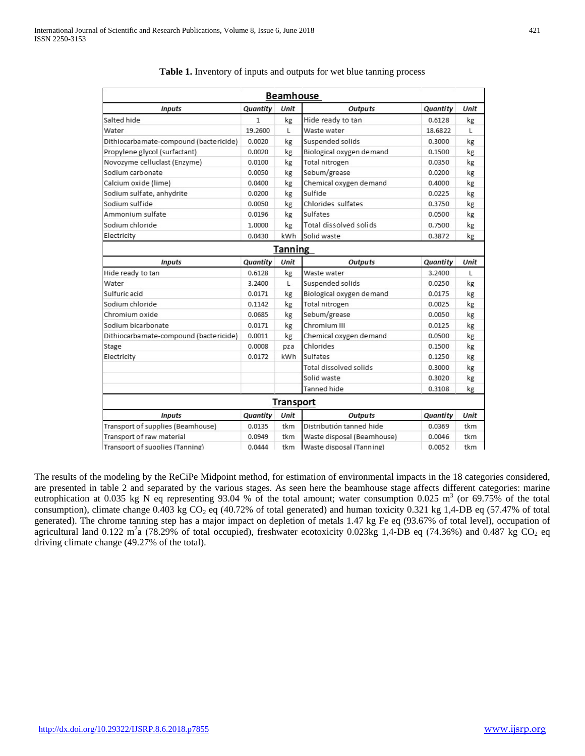|                                        |          | <b>Beamhouse</b> |                                      |          |      |
|----------------------------------------|----------|------------------|--------------------------------------|----------|------|
| <b>Inputs</b>                          | Quantity | Unit             | <b>Outputs</b>                       | Quantity | Unit |
| Salted hide                            | 1        | kg               | Hide ready to tan                    | 0.6128   | kg   |
| Water                                  | 19,2600  | L                | Waste water                          | 18.6822  | L    |
| Dithiocarbamate-compound (bactericide) | 0.0020   | kg               | Suspended solids                     | 0.3000   | kg   |
| Propylene glycol (surfactant)          | 0.0020   | kg               | Biological oxygen demand<br>0.1500   |          | kg   |
| Novozyme celluclast (Enzyme)           | 0.0100   | kg               | <b>Total nitrogen</b>                | 0.0350   | kg   |
| Sodium carbonate                       | 0.0050   | kg               | Sebum/grease                         | 0.0200   | kg   |
| Calcium oxide (lime)                   | 0.0400   | kg               | Chemical oxygen demand               | 0.4000   | kg   |
| Sodium sulfate, anhydrite              | 0.0200   | kg               | Sulfide                              | 0.0225   | kg   |
| Sodium sulfide                         | 0.0050   | kg               | Chlorides sulfates                   | 0.3750   | kg   |
| Ammonium sulfate                       | 0.0196   | kg               | Sulfates                             | 0.0500   | kg   |
| Sodium chloride                        | 1.0000   | kg               | Total dissolved solids               | 0.7500   | kg   |
| Electricity                            | 0.0430   | kWh              | Solid waste                          | 0.3872   | kg   |
|                                        |          | <b>Tanning</b>   |                                      |          |      |
| <b>Inputs</b>                          | Quantity | Unit             | <b>Outputs</b>                       | Quantity | Unit |
| Hide ready to tan                      | 0.6128   | kg               | Waste water                          | 3.2400   | L    |
| Water                                  | 3.2400   | L                | Suspended solids                     | 0.0250   | kg   |
| Sulfuric acid                          | 0.0171   | kg               | Biological oxygen demand             | 0.0175   | kg   |
| Sodium chloride                        | 0.1142   | kg               | Total nitrogen<br>0.0025             |          | kg   |
| Chromium oxide                         | 0.0685   | kg               | Sebum/grease                         | 0.0050   | kg   |
| Sodium bicarbonate                     | 0.0171   | kg               | Chromium III                         | 0.0125   | kg   |
| Dithiocarbamate-compound (bactericide) | 0.0011   | kg               | Chemical oxygen demand               | 0.0500   | kg   |
| Stage                                  | 0.0008   | pza              | Chlorides                            | 0.1500   | kg   |
| Electricity                            | 0.0172   | kWh              | Sulfates<br>0.1250                   |          | kg   |
|                                        |          |                  | Total dissolved solids               | 0.3000   | kg   |
|                                        |          |                  | Solid waste                          | 0.3020   | kg   |
|                                        |          |                  | Tanned hide                          | 0.3108   | kg   |
|                                        |          | <b>Transport</b> |                                      |          |      |
| <b>Inputs</b>                          | Quantity | Unit             | <b>Outputs</b>                       | Quantity | Unit |
| Transport of supplies (Beamhouse)      | 0.0135   | tkm              | Distributión tanned hide<br>0.0369   |          | tkm  |
| Transport of raw material              | 0.0949   | tkm              | Waste disposal (Beamhouse)<br>0.0046 |          |      |
| Transport of supplies (Tanning)        | 0.0444   | tkm              | Waste disposal (Tanning)             | 0.0052   | tkm  |

# **Table 1.** Inventory of inputs and outputs for wet blue tanning process

The results of the modeling by the ReCiPe Midpoint method, for estimation of environmental impacts in the 18 categories considered, are presented in table 2 and separated by the various stages. As seen here the beamhouse stage affects different categories: marine eutrophication at 0.035 kg N eq representing 93.04 % of the total amount; water consumption 0.025 m<sup>3</sup> (or 69.75% of the total consumption), climate change 0.403 kg  $CO_2$  eq (40.72% of total generated) and human toxicity 0.321 kg 1,4-DB eq (57.47% of total generated). The chrome tanning step has a major impact on depletion of metals 1.47 kg Fe eq (93.67% of total level), occupation of agricultural land 0.122 m<sup>2</sup>a (78.29% of total occupied), freshwater ecotoxicity 0.023kg 1,4-DB eq (74.36%) and 0.487 kg CO<sub>2</sub> eq driving climate change (49.27% of the total).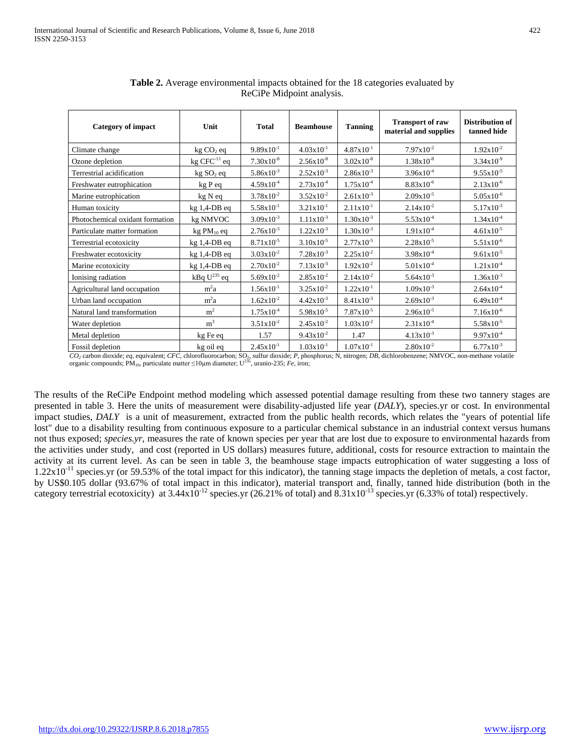| <b>Category of impact</b>       | Unit                  | <b>Total</b>   | <b>Beamhouse</b>      | <b>Tanning</b>        | <b>Transport of raw</b><br>material and supplies | <b>Distribution of</b><br>tanned hide |
|---------------------------------|-----------------------|----------------|-----------------------|-----------------------|--------------------------------------------------|---------------------------------------|
| Climate change                  | kg CO <sub>2</sub> eq | $9.89x10^{-1}$ | $4.03 \times 10^{-1}$ | $4.87 \times 10^{-1}$ | $7.97x10^{-2}$                                   | $1.92x10^{-2}$                        |
| Ozone depletion                 | $kg$ CFC $^{-11}$ eq  | $7.30x10^{-8}$ | $2.56x10^{-8}$        | $3.02x10^{-8}$        | $1.38x10^{-8}$                                   | $3.34x10^{-9}$                        |
| Terrestrial acidification       | kg SO <sub>2</sub> eq | $5.86x10^{-3}$ | $2.52x10^{-3}$        | $2.86x10^{-3}$        | $3.96x10^{-4}$                                   | $9.55x10^{-5}$                        |
| Freshwater eutrophication       | kg P eq               | $4.59x10^{-4}$ | $2.73 \times 10^{-4}$ | $1.75x10^{-4}$        | $8.83x10^{-6}$                                   | $2.13x10^{-6}$                        |
| Marine eutrophication           | kg N eq               | $3.78x10^{-2}$ | $3.52 \times 10^{-2}$ | $2.61x10^{-3}$        | $2.09x10^{-5}$                                   | $5.05 \times 10^{-6}$                 |
| Human toxicity                  | kg 1,4-DB eq          | $5.58x10^{-1}$ | $3.21x10^{-1}$        | $2.11x10^{-1}$        | $2.14x10^{-2}$                                   | $5.17x10^{-3}$                        |
| Photochemical oxidant formation | kg NMVOC              | $3.09x10^{-3}$ | $1.11x10^{-3}$        | $1.30x10^{-3}$        | $5.53 \times 10^{-4}$                            | $1.34x10^{-4}$                        |
| Particulate matter formation    | kg PM10 eq            | $2.76x10^{-3}$ | $1.22 \times 10^{-3}$ | $1.30x10^{-3}$        | $1.91x10^{-4}$                                   | $4.61x10^{-5}$                        |
| Terrestrial ecotoxicity         | $kg$ 1,4-DB eq        | $8.71x10^{-5}$ | $3.10x10^{-5}$        | $2.77x10^{-5}$        | $2.28x10^{-5}$                                   | $5.51x10^{-6}$                        |
| Freshwater ecotoxicity          | $kg$ 1,4-DB eq        | $3.03x10^{-2}$ | $7.28 \times 10^{-3}$ | $2.25x10^{-2}$        | $3.98x10^{-4}$                                   | $9.61 \times 10^{-5}$                 |
| Marine ecotoxicity              | $kg$ 1,4-DB eq        | $2.70x10^{-2}$ | $7.13 \times 10^{-3}$ | $1.92x10^{-2}$        | $5.01x10^{-4}$                                   | $1.21x10^{-4}$                        |
| Ionising radiation              | kBq $U^{235}$ eq      | $5.69x10^{-2}$ | $2.85x10^{-2}$        | $2.14x10^{-2}$        | $5.64 \times 10^{-3}$                            | $1.36x10^{-3}$                        |
| Agricultural land occupation    | m <sup>2</sup> a      | $1.56x10^{-1}$ | $3.25x10^{-2}$        | $1.22 \times 10^{-1}$ | $1.09x10^{-3}$                                   | $2.64x10^{-4}$                        |
| Urban land occupation           | m <sup>2</sup> a      | $1.62x10^{-2}$ | $4.42x10^{-3}$        | $8.41x10^{-3}$        | $2.69x10^{-3}$                                   | $6.49x10^{-4}$                        |
| Natural land transformation     | m <sup>2</sup>        | $1.75x10^{-4}$ | $5.98 \times 10^{-5}$ | $7.87 \times 10^{-5}$ | $2.96x10^{-5}$                                   | $7.16x10^{-6}$                        |
| Water depletion                 | m <sup>3</sup>        | $3.51x10^{-2}$ | $2.45x10^{-2}$        | $1.03x10^{-2}$        | $2.31x10^{-4}$                                   | $5.58x10^{-5}$                        |
| Metal depletion                 | kg Fe eq              | 1.57           | $9.43 \times 10^{-2}$ | 1.47                  | $4.13x10^{-3}$                                   | $9.97x10^{-4}$                        |
| Fossil depletion                | kg oil eq             | $2.45x10^{-1}$ | $1.03x10^{-1}$        | $1.07x10^{-1}$        | $2.80x10^{-2}$                                   | $6.77 \times 10^{-3}$                 |

| <b>Table 2.</b> Average environmental impacts obtained for the 18 categories evaluated by |  |
|-------------------------------------------------------------------------------------------|--|
| ReCiPe Midpoint analysis.                                                                 |  |

 *CO2* carbon dioxide; *eq*, equivalent; *CFC*, chlorofluorocarbon; SO2, sulfur dioxide; *P*, phosphorus; N, nitrogen; *DB*, dichlorobenzene; NMVOC, non-methane volatile organic compounds; PM10, particulate matter ≤10µm diameter; U235, uranio-235; *Fe*, iron;

The results of the ReCiPe Endpoint method modeling which assessed potential damage resulting from these two tannery stages are presented in table 3. Here the units of measurement were disability-adjusted life year (*DALY*), species.yr or cost. In environmental impact studies, *DALY* is a unit of measurement, extracted from the public health records, which relates the "years of potential life lost" due to a disability resulting from continuous exposure to a particular chemical substance in an industrial context versus humans not thus exposed; *species.yr,* measures the rate of known species per year that are lost due to exposure to environmental hazards from the activities under study, and cost (reported in US dollars) measures future, additional, costs for resource extraction to maintain the activity at its current level. As can be seen in table 3, the beamhouse stage impacts eutrophication of water suggesting a loss of  $1.22 \times 10^{-11}$  species.yr (or 59.53% of the total impact for this indicator), the tanning stage impacts the depletion of metals, a cost factor, by US\$0.105 dollar (93.67% of total impact in this indicator), material transport and, finally, tanned hide distribution (both in the category terrestrial ecotoxicity) at  $3.44 \times 10^{-12}$  species.yr (26.21% of total) and  $8.31 \times 10^{-13}$  species.yr (6.33% of total) respectively.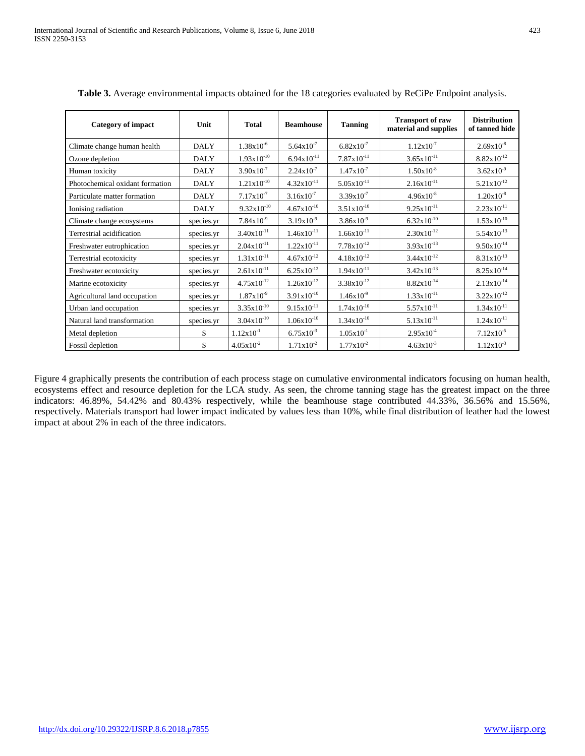| <b>Category of impact</b>       | Unit        | <b>Total</b>          | <b>Beamhouse</b>       | <b>Tanning</b>        | <b>Transport of raw</b><br>material and supplies | <b>Distribution</b><br>of tanned hide |
|---------------------------------|-------------|-----------------------|------------------------|-----------------------|--------------------------------------------------|---------------------------------------|
| Climate change human health     | <b>DALY</b> | $1.38x10^{-6}$        | $5.64 \times 10^{-7}$  | $6.82 \times 10^{-7}$ | $1.12x10^{-7}$                                   | $2.69x10^{-8}$                        |
| Ozone depletion                 | <b>DALY</b> | $1.93x10^{-10}$       | $6.94x10^{-11}$        | $7.87x10^{-11}$       | $3.65x10^{-11}$                                  | $8.82x10^{-12}$                       |
| Human toxicity                  | <b>DALY</b> | $3.90x10^{-7}$        | $2.24x10^{-7}$         | $1.47 \times 10^{-7}$ | $1.50x10^{-8}$                                   | $3.62x10^{-9}$                        |
| Photochemical oxidant formation | <b>DALY</b> | $1.21x10^{-10}$       | $4.32x10^{-11}$        | $5.05x10^{-11}$       | $2.16x10^{-11}$                                  | $5.21x10^{-12}$                       |
| Particulate matter formation    | <b>DALY</b> | $7.17 \times 10^{-7}$ | $3.16x10^{-7}$         | $3.39x10^{-7}$        | $4.96x10^{-8}$                                   | $1.20x10^{-8}$                        |
| Ionising radiation              | <b>DALY</b> | $9.32x10^{-10}$       | $4.67x10^{-10}$        | $3.51x10^{-10}$       | $9.25x10^{-11}$                                  | $2.23x10^{-11}$                       |
| Climate change ecosystems       | species.yr  | $7.84 \times 10^{-9}$ | $3.19x10^{-9}$         | $3.86x10^{-9}$        | $6.32x10^{-10}$                                  | $1.53x10^{-10}$                       |
| Terrestrial acidification       | species.yr  | $3.40x10^{-11}$       | $1.46x10^{-11}$        | $1.66x10^{-11}$       | $2.30x10^{-12}$                                  | $5.54x10^{-13}$                       |
| Freshwater eutrophication       | species.yr  | $2.04x10^{-11}$       | $1.22x10^{-11}$        | $7.78x10^{-12}$       | $3.93x10^{-13}$                                  | $9.50x10^{-14}$                       |
| Terrestrial ecotoxicity         | species.yr  | $1.31x10^{-11}$       | $4.67x10^{-12}$        | $4.18x10^{-12}$       | $3.44 \times 10^{-12}$                           | $8.31x10^{-13}$                       |
| Freshwater ecotoxicity          | species.yr  | $2.61x10^{-11}$       | $6.25 \times 10^{-12}$ | $1.94x10^{-11}$       | $3.42x10^{-13}$                                  | $8.25x10^{-14}$                       |
| Marine ecotoxicity              | species.yr  | $4.75x10^{-12}$       | $1.26x10^{-12}$        | $3.38x10^{-12}$       | $8.82x10^{-14}$                                  | $2.13x10^{-14}$                       |
| Agricultural land occupation    | species.yr  | $1.87 \times 10^{-9}$ | $3.91x10^{-10}$        | $1.46x10^{-9}$        | $1.33x10^{-11}$                                  | $3.22 \times 10^{-12}$                |
| Urban land occupation           | species.yr  | $3.35x10^{-10}$       | $9.15x10^{-11}$        | $1.74x10^{-10}$       | $5.57x10^{-11}$                                  | $1.34x10^{-11}$                       |
| Natural land transformation     | species.yr  | $3.04x10^{-10}$       | $1.06x10^{-10}$        | $1.34x10^{-10}$       | $5.13x10^{-11}$                                  | $1.24x10^{-11}$                       |
| Metal depletion                 | \$          | $1.12 \times 10^{-1}$ | $6.75x10^{-3}$         | $1.05x10^{-1}$        | $2.95x10^{-4}$                                   | $7.12x10^{-5}$                        |
| Fossil depletion                | \$          | $4.05 \times 10^{-2}$ | $1.71x10^{-2}$         | $1.77 \times 10^{-2}$ | $4.63x10^{-3}$                                   | $1.12x10^{-3}$                        |

**Table 3.** Average environmental impacts obtained for the 18 categories evaluated by ReCiPe Endpoint analysis.

Figure 4 graphically presents the contribution of each process stage on cumulative environmental indicators focusing on human health, ecosystems effect and resource depletion for the LCA study. As seen, the chrome tanning stage has the greatest impact on the three indicators: 46.89%, 54.42% and 80.43% respectively, while the beamhouse stage contributed 44.33%, 36.56% and 15.56%, respectively. Materials transport had lower impact indicated by values less than 10%, while final distribution of leather had the lowest impact at about 2% in each of the three indicators.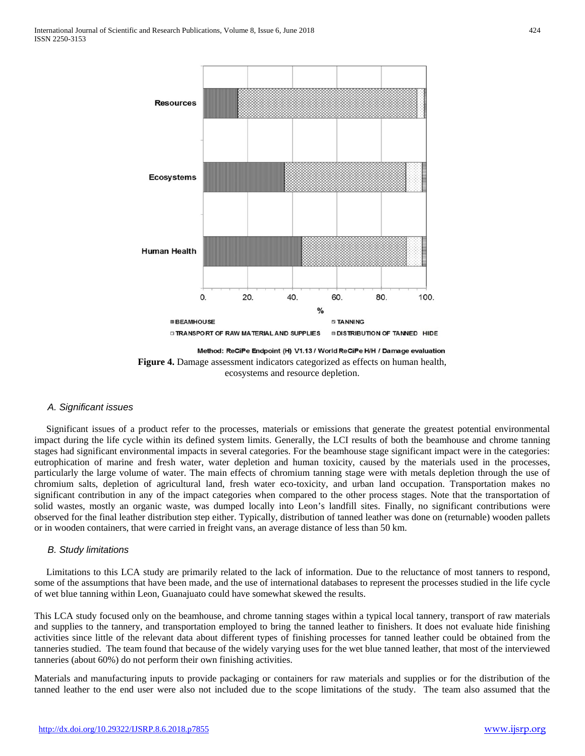

Method: ReCiPe Endpoint (H) V1.13 / World ReCiPe H/H / Damage evaluation **Figure 4.** Damage assessment indicators categorized as effects on human health, ecosystems and resource depletion.

# *A. Significant issues*

 Significant issues of a product refer to the processes, materials or emissions that generate the greatest potential environmental impact during the life cycle within its defined system limits. Generally, the LCI results of both the beamhouse and chrome tanning stages had significant environmental impacts in several categories. For the beamhouse stage significant impact were in the categories: eutrophication of marine and fresh water, water depletion and human toxicity, caused by the materials used in the processes, particularly the large volume of water. The main effects of chromium tanning stage were with metals depletion through the use of chromium salts, depletion of agricultural land, fresh water eco-toxicity, and urban land occupation. Transportation makes no significant contribution in any of the impact categories when compared to the other process stages. Note that the transportation of solid wastes, mostly an organic waste, was dumped locally into Leon's landfill sites. Finally, no significant contributions were observed for the final leather distribution step either. Typically, distribution of tanned leather was done on (returnable) wooden pallets or in wooden containers, that were carried in freight vans, an average distance of less than 50 km.

## *B. Study limitations*

 Limitations to this LCA study are primarily related to the lack of information. Due to the reluctance of most tanners to respond, some of the assumptions that have been made, and the use of international databases to represent the processes studied in the life cycle of wet blue tanning within Leon, Guanajuato could have somewhat skewed the results.

This LCA study focused only on the beamhouse, and chrome tanning stages within a typical local tannery, transport of raw materials and supplies to the tannery, and transportation employed to bring the tanned leather to finishers. It does not evaluate hide finishing activities since little of the relevant data about different types of finishing processes for tanned leather could be obtained from the tanneries studied. The team found that because of the widely varying uses for the wet blue tanned leather, that most of the interviewed tanneries (about 60%) do not perform their own finishing activities.

Materials and manufacturing inputs to provide packaging or containers for raw materials and supplies or for the distribution of the tanned leather to the end user were also not included due to the scope limitations of the study. The team also assumed that the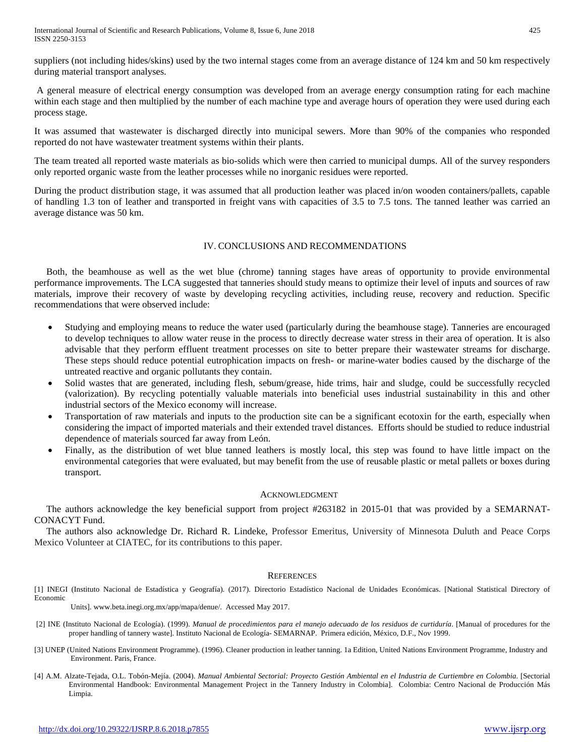suppliers (not including hides/skins) used by the two internal stages come from an average distance of 124 km and 50 km respectively during material transport analyses.

A general measure of electrical energy consumption was developed from an average energy consumption rating for each machine within each stage and then multiplied by the number of each machine type and average hours of operation they were used during each process stage.

It was assumed that wastewater is discharged directly into municipal sewers. More than 90% of the companies who responded reported do not have wastewater treatment systems within their plants.

The team treated all reported waste materials as bio-solids which were then carried to municipal dumps. All of the survey responders only reported organic waste from the leather processes while no inorganic residues were reported.

During the product distribution stage, it was assumed that all production leather was placed in/on wooden containers/pallets, capable of handling 1.3 ton of leather and transported in freight vans with capacities of 3.5 to 7.5 tons. The tanned leather was carried an average distance was 50 km.

# IV. CONCLUSIONS AND RECOMMENDATIONS

 Both, the beamhouse as well as the wet blue (chrome) tanning stages have areas of opportunity to provide environmental performance improvements. The LCA suggested that tanneries should study means to optimize their level of inputs and sources of raw materials, improve their recovery of waste by developing recycling activities, including reuse, recovery and reduction. Specific recommendations that were observed include:

- Studying and employing means to reduce the water used (particularly during the beamhouse stage). Tanneries are encouraged to develop techniques to allow water reuse in the process to directly decrease water stress in their area of operation. It is also advisable that they perform effluent treatment processes on site to better prepare their wastewater streams for discharge. These steps should reduce potential eutrophication impacts on fresh- or marine-water bodies caused by the discharge of the untreated reactive and organic pollutants they contain.
- Solid wastes that are generated, including flesh, sebum/grease, hide trims, hair and sludge, could be successfully recycled (valorization). By recycling potentially valuable materials into beneficial uses industrial sustainability in this and other industrial sectors of the Mexico economy will increase.
- Transportation of raw materials and inputs to the production site can be a significant ecotoxin for the earth, especially when considering the impact of imported materials and their extended travel distances. Efforts should be studied to reduce industrial dependence of materials sourced far away from León.
- Finally, as the distribution of wet blue tanned leathers is mostly local, this step was found to have little impact on the environmental categories that were evaluated, but may benefit from the use of reusable plastic or metal pallets or boxes during transport.

## ACKNOWLEDGMENT

 The authors acknowledge the key beneficial support from project #263182 in 2015-01 that was provided by a SEMARNAT-CONACYT Fund.

 The authors also acknowledge Dr. Richard R. Lindeke, Professor Emeritus, University of Minnesota Duluth and Peace Corps Mexico Volunteer at CIATEC, for its contributions to this paper.

#### **REFERENCES**

[1] INEGI (Instituto Nacional de Estadística y Geografía). (2017). Directorio Estadístico Nacional de Unidades Económicas. [National Statistical Directory of Economic

Units]. [www.beta.inegi.org.mx/app/mapa/denue/.](http://www.beta.inegi.org.mx/app/mapa/denue/) Accessed May 2017.

- [2] INE (Instituto Nacional de Ecología). (1999). *Manual de procedimientos para el manejo adecuado de los residuos de curtiduría*. [Manual of procedures for the proper handling of tannery waste]. Instituto Nacional de Ecología- SEMARNAP. Primera edición, México, D.F., Nov 1999.
- [3] UNEP (United Nations Environment Programme). (1996). Cleaner production in leather tanning. 1a Edition, United Nations Environment Programme, Industry and Environment. Paris, France.
- [4] A.M. Alzate-Tejada, O.L. Tobón-Mejía. (2004). *Manual Ambiental Sectorial: Proyecto Gestión Ambiental en el Industria de Curtiembre en Colombia*. [Sectorial Environmental Handbook: Environmental Management Project in the Tannery Industry in Colombia]. Colombia: Centro Nacional de Producción Más Limpia.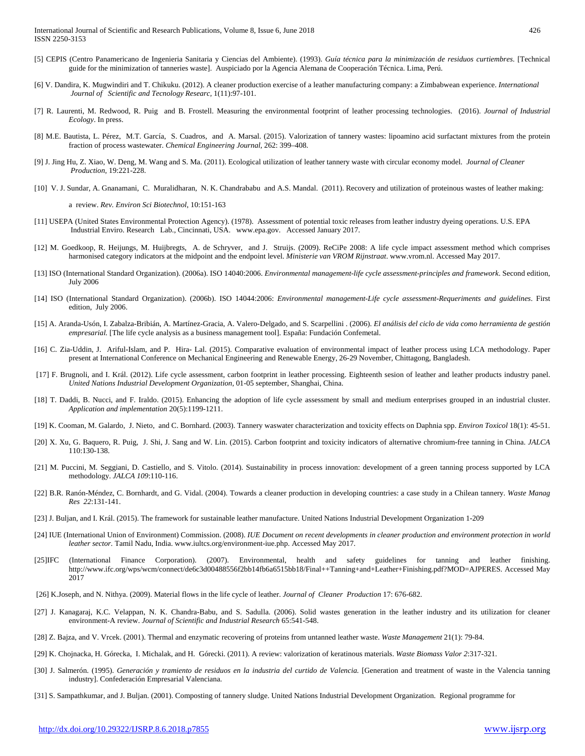- [5] CEPIS (Centro Panamericano de Ingenieria Sanitaria y Ciencias del Ambiente). (1993). *Guía técnica para la minimización de residuos curtiembres*. [Technical guide for the minimization of tanneries waste]. Auspiciado por la Agencia Alemana de Cooperación Técnica. Lima, Perú.
- [6] V. Dandira, K. Mugwindiri and T. Chikuku. (2012). A cleaner production exercise of a leather manufacturing company: a Zimbabwean experience. *International Journal of Scientific and Tecnology Researc,* 1(11):97-101.
- [7] R. Laurenti, M. Redwood, R. Puig and B. Frostell. Measuring the environmental footprint of leather processing technologies. (2016). *Journal of Industrial Ecology*. In press.
- [8] M.E. Bautista, L. Pérez, M.T. García, S. Cuadros, and A. Marsal. (2015). Valorization of tannery wastes: lipoamino acid surfactant mixtures from the protein fraction of process wastewater. *Chemical Engineering Journal,* 262: 399–408.
- [9] J. Jing Hu, Z. Xiao, W. Deng, M. Wang and S. Ma. (2011). Ecological utilization of leather tannery waste with circular economy model. *Journal of Cleaner Production,* 19:221-228.
- [10] V. J. Sundar, A. Gnanamani, C. Muralidharan, N. K. Chandrababu and A.S. Mandal. (2011). Recovery and utilization of proteinous wastes of leather making:

a review. *Rev. Environ Sci Biotechnol*, 10:151-163

- [11] USEPA (United States Environmental Protection Agency). (1978). Assessment of potential toxic releases from leather industry dyeing operations. U.S. EPA Industrial Enviro. Research Lab., Cincinnati, USA. www.epa.gov. Accessed January 2017.
- [12] M. Goedkoop, R. Heijungs, M. Huijbregts, A. de Schryver, and J. Struijs. (2009). ReCiPe 2008: A life cycle impact assessment method which comprises harmonised category indicators at the midpoint and the endpoint level. *Ministerie van VROM Rijnstraat*[. www.vrom.nl.](http://www.vrom.nl/) Accessed May 2017.
- [13] ISO (International Standard Organization). (2006a). ISO 14040:2006. *Environmental management-life cycle assessment-principles and framework*. Second edition, July 2006
- [14] ISO (International Standard Organization). (2006b). ISO 14044:2006: *Environmental management-Life cycle assessment-Requeriments and guidelines*. First edition, July 2006.
- [15] A. Aranda-Usón, I. Zabalza-Bribián, A. Martínez-Gracia, A. Valero-Delgado, and S. Scarpellini . (2006). *El análisis del ciclo de vida como herramienta de gestión empresarial.* [The life cycle analysis as a business management tool]. España: Fundación Confemetal.
- [16] C. Zia-Uddin, J. Ariful-Islam, and P. Hira- Lal. (2015). Comparative evaluation of environmental impact of leather process using LCA methodology. Paper present at International Conference on Mechanical Engineering and Renewable Energy, 26-29 November, Chittagong, Bangladesh.
- [17] F. Brugnoli, and I. Král. (2012). Life cycle assessment, carbon footprint in leather processing. Eighteenth sesion of leather and leather products industry panel. *United Nations Industrial Development Organization*, 01-05 september, Shanghai, China.
- [18] T. Daddi, B. Nucci, and F. Iraldo. (2015). Enhancing the adoption of life cycle assessment by small and medium enterprises grouped in an industrial cluster. *Application and implementation* 20(5):1199-1211.
- [19] K. Cooman, M. Galardo, J. Nieto, and C. Bornhard. (2003). Tannery waswater characterization and toxicity effects on Daphnia spp. *Environ Toxicol* 18(1): 45-51.
- [20] X. Xu, G. Baquero, R. Puig, J. Shi, J. Sang and W. Lin. (2015). Carbon footprint and toxicity indicators of alternative chromium-free tanning in China. *JALCA* 110:130-138.
- [21] M. Puccini, M. Seggiani, D. Castiello, and S. Vitolo. (2014). Sustainability in process innovation: development of a green tanning process supported by LCA methodology. *JALCA 109*:110-116.
- [22] B.R. Ranón-Méndez, C. Bornhardt, and G. Vidal. (2004). Towards a cleaner production in developing countries: a case study in a Chilean tannery. *Waste Manag Res 22*:131-141.
- [23] J. Buljan, and I. Král. (2015). The framework for sustainable leather manufacture. United Nations Industrial Development Organization 1-209
- [24] IUE (International Union of Environment) Commission. (2008). *IUE Document on recent developments in cleaner production and environment protection in world leather sector.* Tamil Nadu, India[. www.iultcs.org/environment-iue.php.](http://www.iultcs.org/environment-iue.php) Accessed May 2017.
- [25]IFC (International Finance Corporation). (2007). Environmental, health and safety guidelines for tanning and leather finishing. [http://www.ifc.org/wps/wcm/connect/de6c3d00488556f2bb14fb6a6515bb18/Final++Tanning+and+Leather+Finishing.pdf?MOD=AJPERES.](http://www.ifc.org/wps/wcm/connect/de6c3d00488556f2bb14fb6a6515bb18/Final++Tanning+and+Leather+Finishing.pdf?MOD=AJPERES) Accessed May 2017
- [26] K.Joseph, and N. Nithya. (2009). Material flows in the life cycle of leather. *Journal of Cleaner Production* 17: 676-682.
- [27] J. Kanagaraj, K.C. Velappan, N. K. Chandra-Babu, and S. Sadulla. (2006). Solid wastes generation in the leather industry and its utilization for cleaner environment-A review. *Journal of Scientific and Industrial Research* 65:541-548.
- [28] Z. Bajza, and V. Vrcek. (2001). Thermal and enzymatic recovering of proteins from untanned leather waste. *Waste Management* 21(1): 79-84.
- [29] K. Chojnacka, H. Górecka, I. Michalak, and H. Górecki. (2011). A review: valorization of keratinous materials. *Waste Biomass Valor 2*:317-321.
- [30] J. Salmerón. (1995). *Generación y tramiento de residuos en la industria del curtido de Valencia.* [Generation and treatment of waste in the Valencia tanning industry]. Confederación Empresarial Valenciana.
- [31] S. Sampathkumar, and J. Buljan. (2001). Composting of tannery sludge. United Nations Industrial Development Organization. Regional programme for